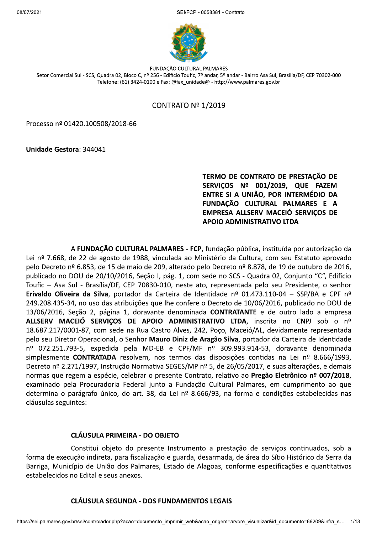$2021$ FCP - 0058381 - Contrato



FUNDAÇÃO CULTURAL PALMARES Setor Comercial Sul - SCS, Quadra 02, Bloco C, nº 256 - Edifício Toufic, 7º andar, 5º andar - Bairro Asa Sul, Brasília/DF, CEP 70302-000 Telefone: (61) 3424-0100 e Fax: @fax unidade@ - http://www.palmares.gov.br

# CONTRATO  $N<sup>°</sup> 1/2019$

Processo nº 01420.100508/2018-66

Unidade Gestora: 344041

# TERNIO DE CONTRATO DE PRESTAÇÃO DE<br>SERVIÇOS Nº 001/2019, QUE FAZEM<br>ENTRE SI A UNIÃO, POR INTERMÉDIO DA<br>FUNDAÇÃO CULTURAL PALMARES E A EMPRESA ALLSERV MACEIÓ SERVICOS DE APOIO ADMINISTRATIVO LTDA

A FUNDACÃO CULTURAL PALMARES - FCP, fundação pública, instituída por autorização da Lei nº 7.668, de 22 de agosto de 1988, vinculada ao Ministério da Cultura, com seu Estatuto aprovado pelo Decreto nº 6.853, de 15 de maio de 209, alterado pelo Decreto nº 8.878, de 19 de outubro de 2016, publicado no DOU de 20/10/2016, Seção I, pág. 1, com sede no SCS - Quadra 02, Conjunto "C", Edifício Toufic - Asa Sul - Brasília/DF, CEP 70830-010, neste ato, representada pelo seu Presidente, o senhor Erivaldo Oliveira da Silva, portador da Carteira de Identidade nº 01.473.110-04 - SSP/BA e CPF nº 249.208.435-34, no uso das atribuições que lhe confere o Decreto de 10/06/2016, publicado no DOU de 13/06/2016, Seção 2, página 1, doravante denominada CONTRATANTE e de outro lado a empresa ALLSERV MACEIÓ SERVIÇOS DE APOIO ADMINISTRATIVO LTDA, inscrita no CNPJ sob o nº 18.687.217/0001-87, com sede na Rua Castro Alves, 242, Poço, Maceió/AL, devidamente representada pelo seu Diretor Operacional, o Senhor Mauro Diniz de Aragão Silva, portador da Carteira de Identidade nº 072.251.793-5, expedida pela MD-EB e CPF/MF nº 309.993.914-53, doravante denominada simplesmente CONTRATADA resolvem, nos termos das disposições contidas na Lei nº 8.666/1993, Decreto nº 2.271/1997, Instrução Normativa SEGES/MP nº 5, de 26/05/2017, e suas alterações, e demais normas que regem a espécie, celebrar o presente Contrato, relativo ao Pregão Eletrônico nº 007/2018, examinado pela Procuradoria Federal junto a Fundação Cultural Palmares, em cumprimento ao que determina o parágrafo único, do art. 38, da Lei nº 8.666/93, na forma e condições estabelecidas nas cláusulas seguintes:

#### CLÁUSULA PRIMEIRA - DO OBJETO

|<br>|SULA SEGUNDA - DOS FUNDAMENTOS LEGAIS<br>|controlador.php?acao=documento\_imprimir\_web&acao\_origem=arvore\_visualizar&id\_documento=66209&infra\_s… | 1/1:<br>| Constitui objeto do presente Instrumento a prestação de serviços continuados, sob a forma de execução indireta, para fiscalização e guarda, desarmada, de área do Sítio Histórico da Serra da Barriga, Município de União dos Palmares, Estado de Alagoas, conforme especificações e quantitativos estabelecidos no Edital e seus anexos.

#### CLÁUSULA SEGUNDA - DOS FUNDAMENTOS LEGAIS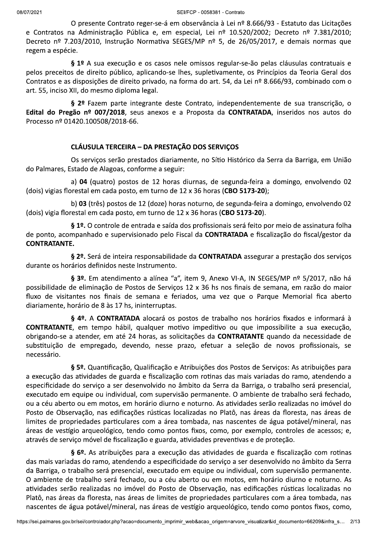$2021$ FCP - 0058381 - Contrato

O presente Contrato reger-se-á em observância à Lei nº 8.666/93 - Estatuto das Licitações e Contratos na Administração Pública e, em especial, Lei nº 10.520/2002; Decreto nº 7.381/2010; Decreto nº 7.203/2010, Instrução Normativa SEGES/MP nº 5, de 26/05/2017, e demais normas que regem a espécie.

§ 1º A sua execução e os casos nele omissos regular-se-ão pelas cláusulas contratuais e pelos preceitos de direito público, aplicando-se lhes, supletivamente, os Princípios da Teoria Geral dos 6765/93, combinado com o Contratos e as disposições de direito privado, na forma do art. 54, da Lei nº 8.666/93, combinado com o art. 55, inciso XII, do mesmo diploma legal.

§ 2º Fazem parte integrante deste Contrato, independentemente de sua transcrição, o Edital do Pregão nº 007/2018, seus anexos e a Proposta da CONTRATADA, inseridos nos autos do Processo nº 01420.100508/2018-66.

# CLÁUSULA TERCEIRA - DA PRESTAÇÃO DOS SERVIÇOS

Os serviços serão prestados diariamente, no Sítio Histórico da Serra da Barriga, em União do Palmares, Estado de Alagoas, conforme a seguir:

a)  $04$  (quatro) postos de 12 horas diurnas, de segunda-feira a domingo, envolvendo 02 (dois) vigias florestal em cada posto, em turno de 12 x 36 horas (CBO 5173-20);

b) 03 (três) postos de 12 (doze) horas noturno, de segunda-feira a domingo, envolvendo 02 (dois) vigia florestal em cada posto, em turno de 12 x 36 horas (CBO 5173-20).

§ 1º. O controle de entrada e saída dos profissionais será feito por meio de assinatura folha de ponto, acompanhado e supervisionado pelo Fiscal da CONTRATADA e fiscalização do fiscal/gestor da<br>CONTRATANTE.

§ 2º. Será de inteira responsabilidade da CONTRATADA assegurar a prestação dos serviços durante os horários definidos neste Instrumento.

§ 3º. Em atendimento a alínea "a", item 9, Anexo VI-A, IN SEGES/MP nº 5/2017, não há possibilidade de eliminação de Postos de Serviços 12 x 36 hs nos finais de semana, em razão do maior fluxo de visitantes nos finais de semana e feriados, uma vez que o Parque Memorial fica aberto diariamente, horário de 8 às 17 hs, ininterruptas.

§ 4º. A CONTRATADA alocará os postos de trabalho nos horários fixados e informará à CONTRATANTE, em tempo hábil, qualquer motivo impeditivo ou que impossibilite a sua execução, obrigando-se a atender, em até 24 horas, as solicitações da **CONTRATANTE** quando da necessidade de substituição de empregado, devendo, nesse prazo, efetuar a seleção de novos profissionais, se necessário.

§ 5º. Quantificação, Qualificação e Atribuições dos Postos de Serviços: As atribuições para a execução das atividades de guarda e fiscalização com rotinas das mais variadas do ramo, atendendo a especificidade do serviço a ser desenvolvido no âmbito da Serra da Barriga, o trabalho será presencial, executado em equipe ou individual, com supervisão permanente. O ambiente de trabalho será fechado, ou a céu aberto ou em motos, em horário diurno e noturno. As atividades serão realizadas no imóvel do Posto de Observação, nas edificações rústicas localizadas no Platô, nas áreas da floresta, nas áreas de limites de propriedades particulares com a área tombada, nas nascentes de água potável/mineral, nas áreas de vestígio arqueológico, tendo como pontos fixos, como, por exemplo, controles de acessos; e, através de serviço móvel de fiscalização e guarda, atividades preventivas e de proteção.

balho será fechado, ou a céu aberto ou em motos, em horário diurno e noturno. As<br>alizadas no imóvel do Posto de Observação, nas edificações rústicas localizadas no<br>floresta, nas áreas de limites de propriedades particulare § 6º. As atribuições para a execução das atividades de guarda e fiscalização com rotinas das mais variadas do ramo, atendendo a especificidade do serviço a ser desenvolvido no âmbito da Serra da Barriga, o trabalho será presencial, executado em equipe ou individual, com supervisão permanente. O ambiente de trabalho será fechado, ou a céu aberto ou em motos, em horário diurno e noturno. As atividades serão realizadas no imóvel do Posto de Observação, nas edificações rústicas localizadas no Platô, nas áreas da floresta, nas áreas de limites de propriedades particulares com a área tombada, nas nascentes de água potável/mineral, nas áreas de vestígio arqueológico, tendo como pontos fixos, como,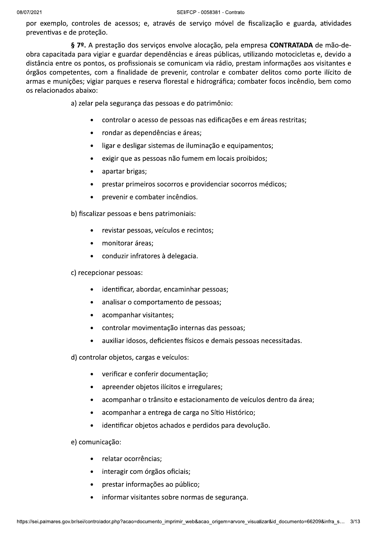por exemplo, controles de acessos; e, através de serviço móvel de fiscalização e guarda, atividades preventivas e de proteção.

§ 7º. A prestação dos serviços envolve alocação, pela empresa CONTRATADA de mão-deobra capacitada para vigiar e guardar dependências e áreas públicas, utilizando motocicletas e, devido a distância entre os pontos, os profissionais se comunicam via rádio, prestam informações aos visitantes e órgãos competentes, com a finalidade de prevenir, controlar e combater delitos como porte ilícito de armas e munições; vigiar parques e reserva florestal e hidrográfica; combater focos incêndio, bem como os relacionados abaixo:

a) zelar pela segurança das pessoas e do patrimônio:

- controlar o acesso de pessoas nas edificações e em áreas restritas;
- rondar as dependências e áreas;  $\bullet$
- ligar e desligar sistemas de iluminação e equipamentos;  $\bullet$
- exigir que as pessoas não fumem em locais proibidos;
- apartar brigas;  $\bullet$
- prestar primeiros socorros e providenciar socorros médicos;
- prevenir e combater incêndios.

b) fiscalizar pessoas e bens patrimoniais:

- revistar pessoas, veículos e recintos;
- · monitorar áreas:
- conduzir infratores à delegacia.
- c) recepcionar pessoas:
	- identificar, abordar, encaminhar pessoas;  $\bullet$
	- analisar o comportamento de pessoas;
	- acompanhar visitantes;
	- controlar movimentação internas das pessoas;
	- auxiliar idosos, deficientes físicos e demais pessoas necessitadas.  $\bullet$

d) controlar objetos, cargas e veículos:

- · verificar e conferir documentação;
- apreender objetos ilícitos e irregulares;
- acompanhar o trânsito e estacionamento de veículos dentro da área:
- acompanhar a entrega de carga no Sítio Histórico;  $\bullet$
- identificar objetos achados e perdidos para devolução.

e) comunicação:

- relatar ocorrências;  $\bullet$
- interagir com órgãos oficiais;
- prestar informações ao público;
- informar visitantes sobre normas de segurança.  $\bullet$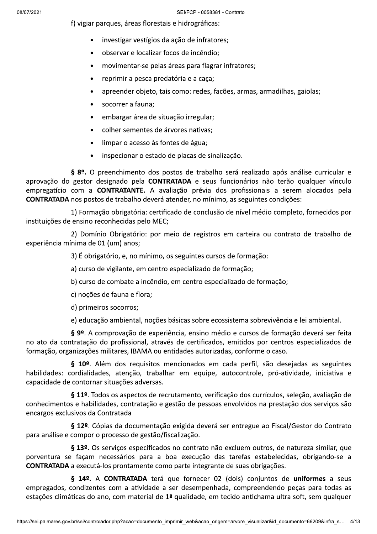f) vigiar parques, áreas florestais e hidrográficas:

- investigar vestígios da ação de infratores;
- observar e localizar focos de incêndio;
- movimentar-se pelas áreas para flagrar infratores;
- reprimir a pesca predatória e a caça;
- apreender objeto, tais como: redes, facões, armas, armadilhas, gaiolas;
- socorrer a fauna;  $\bullet$
- embargar área de situação irregular;
- colher sementes de árvores nativas;
- limpar o acesso às fontes de água;  $\bullet$
- inspecionar o estado de placas de sinalização.  $\bullet$

§ 8º. O preenchimento dos postos de trabalho será realizado após análise curricular e aprovação do gestor designado pela CONTRATADA e seus funcionários não terão qualquer vínculo empregatício com a CONTRATANTE. A avaliação prévia dos profissionais a serem alocados pela **CONTRATADA** nos postos de trabalho deverá atender, no mínimo, as seguintes condições:

1) Formação obrigatória: certificado de conclusão de nível médio completo, fornecidos por instituições de ensino reconhecidas pelo MEC;

2) Domínio Obrigatório: por meio de registros em carteira ou contrato de trabalho de experiência mínima de 01 (um) anos;

3) É obrigatório, e, no mínimo, os seguintes cursos de formação:

a) curso de vigilante, em centro especializado de formação;

b) curso de combate a incêndio, em centro especializado de formação;

c) noções de fauna e flora;

d) primeiros socorros;

e) educação ambiental, noções básicas sobre ecossistema sobrevivência e lei ambiental.

§ 9º. A comprovação de experiência, ensino médio e cursos de formação deverá ser feita no ato da contratação do profissional, através de certificados, emitidos por centros especializados de formação, organizações militares, IBAMA ou entidades autorizadas, conforme o caso.

§ 10º. Além dos requisitos mencionados em cada perfil, são desejadas as seguintes habilidades: cordialidades, atenção, trabalhar em equipe, autocontrole, pró-atividade, iniciativa e capacidade de contornar situações adversas.

§ 11º. Todos os aspectos de recrutamento, verificação dos currículos, seleção, avaliação de conhecimentos e habilidades, contratação e gestão de pessoas envolvidos na prestação dos serviços são encargos exclusivos da Contratada

§ 12º. Cópias da documentação exigida deverá ser entregue ao Fiscal/Gestor do Contrato para análise e compor o processo de gestão/fiscalização.

§ 13º. Os serviços especificados no contrato não excluem outros, de natureza similar, que porventura se façam necessários para a boa execução das tarefas estabelecidas, obrigando-se a CONTRATADA a executá-los prontamente como parte integrante de suas obrigações.

§ 14º. A CONTRATADA terá que fornecer 02 (dois) conjuntos de uniformes a seus empregados, condizentes com a atividade a ser desempenhada, compreendendo peças para todas as estações climáticas do ano, com material de 1ª qualidade, em tecido antichama ultra soft, sem qualquer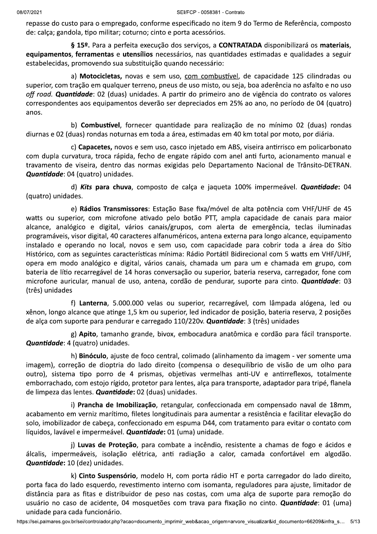repasse do custo para o empregado, conforme especificado no item 9 do Termo de Referência, composto de: calça; gandola, tipo militar; coturno; cinto e porta acessórios.

§ 15º. Para a perfeita execução dos serviços, a CONTRATADA disponibilizará os materiais, equipamentos, ferramentas e utensílios necessários, nas quantidades estimadas e qualidades a seguir estabelecidas, promovendo sua substituição quando necessário:

a) Motocicletas, novas e sem uso, com combustível, de capacidade 125 cilindradas ou superior, com tração em qualquer terreno, pneus de uso misto, ou seja, boa aderência no asfalto e no uso off road. Quantidade: 02 (duas) unidades. A partir do primeiro ano de vigência do contrato os valores correspondentes aos equipamentos deverão ser depreciados em 25% ao ano, no período de 04 (quatro) anos.

b) Combustível, fornecer quantidade para realização de no mínimo 02 (duas) rondas diurnas e 02 (duas) rondas noturnas em toda a área, estimadas em 40 km total por moto, por diária.

c) Capacetes, novos e sem uso, casco injetado em ABS, viseira antirrisco em policarbonato com dupla curvatura, troca rápida, fecho de engate rápido com anel anti furto, acionamento manual e travamento de viseira, dentro das normas exigidas pelo Departamento Nacional de Trânsito-DETRAN. Quantidade: 04 (quatro) unidades.

d) Kits para chuva, composto de calça e jaqueta 100% impermeável. Quantidade: 04 (quatro) unidades.

e) Rádios Transmissores: Estação Base fixa/móvel de alta potência com VHF/UHF de 45 watts ou superior, com microfone ativado pelo botão PTT, ampla capacidade de canais para maior alcance, analógico e digital, vários canais/grupos, com alerta de emergência, teclas iluminadas programáveis, visor digital, 40 caracteres alfanuméricos, antena externa para longo alcance, equipamento instalado e operando no local, novos e sem uso, com capacidade para cobrir toda a área do Sítio Histórico, com as seguintes características mínima: Rádio Portátil Bidirecional com 5 watts em VHF/UHF. opera em modo analógico e digital, vários canais, chamada um para um e chamada em grupo, com bateria de lítio recarregável de 14 horas conversação ou superior, bateria reserva, carregador, fone com microfone auricular, manual de uso, antena, cordão de pendurar, suporte para cinto. Quantidade: 03 (três) unidades

f) Lanterna, 5.000.000 velas ou superior, recarregável, com lâmpada alógena, led ou xênon, longo alcance que atinge 1,5 km ou superior, led indicador de posição, bateria reserva, 2 posições de alça com suporte para pendurar e carregado 110/220v. Quantidade: 3 (três) unidades

g) Apito, tamanho grande, bivox, embocadura anatômica e cordão para fácil transporte. Quantidade: 4 (quatro) unidades.

h) **Binóculo**, ajuste de foco central, colimado (alinhamento da imagem - ver somente uma imagem), correção de dioptria do lado direito (compensa o deseguilíbrio de visão de um olho para outro), sistema tipo porro de 4 prismas, objetivas vermelhas anti-UV e antirreflexos, totalmente emborrachado, com estojo rígido, protetor para lentes, alça para transporte, adaptador para tripé, flanela de limpeza das lentes. Quantidade: 02 (duas) unidades.

i) Prancha de Imobilização, retangular, confeccionada em compensado naval de 18mm, acabamento em verniz marítimo, filetes longitudinais para aumentar a resistência e facilitar elevação do solo, imobilizador de cabeça, confeccionado em espuma D44, com tratamento para evitar o contato com líquidos, lavável e impermeável. Quantidade: 01 (uma) unidade.

j) Luvas de Proteção, para combate a incêndio, resistente a chamas de fogo e ácidos e álcalis, impermeáveis, isolação elétrica, anti radiação a calor, camada confortável em algodão. Quantidade: 10 (dez) unidades.

k) Cinto Suspensório, modelo H, com porta rádio HT e porta carregador do lado direito, porta faca do lado esquerdo, revestimento interno com isomanta, reguladores para ajuste, limitador de distância para as fitas e distribuidor de peso nas costas, com uma alça de suporte para remoção do usuário no caso de acidente, 04 mosquetões com trava para fixação no cinto. Quantidade: 01 (uma) unidade para cada funcionário.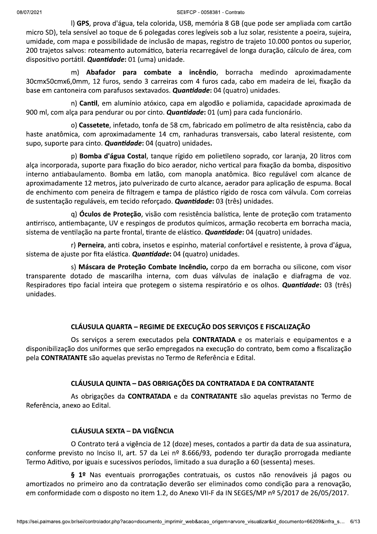l) GPS, prova d'água, tela colorida, USB, memória 8 GB (que pode ser ampliada com cartão micro SD), tela sensível ao toque de 6 polegadas cores legíveis sob a luz solar, resistente a poeira, sujeira, umidade, com mapa e possibilidade de inclusão de mapas, registro de trajeto 10.000 pontos ou superior, 200 trajetos salvos: roteamento automático, bateria recarregável de longa duração, cálculo de área, com dispositivo portátil. *Quantidade*: 01 (uma) unidade.

m) Abafador para combate a incêndio, borracha medindo aproximadamente 30cmx50cmx6,0mm, 12 furos, sendo 3 carreiras com 4 furos cada, cabo em madeira de lei, fixação da base em cantoneira com parafusos sextavados. **Quantidade:** 04 (quatro) unidades.

n) Cantil, em alumínio atóxico, capa em algodão e poliamida, capacidade aproximada de 900 ml, com alça para pendurar ou por cinto. *Quantidade*: 01 (um) para cada funcionário.

0) Cassetete, infetado, tonfa de 58 cm, fabricado em polímetro de alta resistência, cabo da haste anatômica, com aproximadamente 14 cm, ranhaduras transversais, cabo lateral resistente, com supo, suporte para cinto. **Quantidade:** 04 (quatro) unidades.

p) Bomba d'água Costal, tanque rígido em polietileno soprado, cor laranja, 20 litros com alça incorporada, suporte para fixação do bico aerador, nicho vertical para fixação da bomba, dispositivo interno antiabaulamento. Bomba em latão, com manopla anatômica. Bico regulável com alcance de aproximadamente 12 metros, jato pulverizado de curto alcance, aerador para aplicação de espuma. Bocal de enchimento com peneira de filtragem e tampa de plástico rígido de rosca com válvula. Com correias de sustentação reguláveis, em tecido reforçado. *Quantidade*: 03 (três) unidades.

g) Óculos de Proteção, visão com resistência balística, lente de proteção com tratamento antirrisco, antiembaçante, UV e respingos de produtos químicos, armação recoberta em borracha macia, sistema de ventilação na parte frontal, tirante de elástico. Quantidade: 04 (quatro) unidades.

r) Perneira, anti cobra, insetos e espinho, material confortável e resistente, à prova d'água, sistema de ajuste por fita elástica. **Quantidade:** 04 (quatro) unidades.

s) Máscara de Proteção Combate Incêndio, corpo da em borracha ou silicone, com visor transparente dotado de mascarilha interna, com duas válvulas de inalação e diafragma de voz. Respiradores tipo facial inteira que protegem o sistema respiratório e os olhos. **Quantidade:** 03 (três) unidades.

# CLÁUSULA QUARTA - REGIME DE EXECUÇÃO DOS SERVIÇOS E FISCALIZAÇÃO

Os serviços a serem executados pela CONTRATADA e os materiais e equipamentos e a disponibilização dos uniformes que serão empregados na execução do contrato, bem como a fiscalização pela CONTRATANTE são aquelas previstas no Termo de Referência e Edital.

# CLÁUSULA QUINTA - DAS OBRIGAÇÕES DA CONTRATADA E DA CONTRATANTE

As obrigações da **CONTRATADA** e da **CONTRATANTE** são aquelas previstas no Termo de Referência, anexo ao Edital.

# CLÁUSULA SEXTA - DA VIGÊNCIA

O Contrato terá a vigência de 12 (doze) meses, contados a partir da data de sua assinatura, conforme previsto no Inciso II, art. 57 da Lei nº 8.666/93, podendo ter duração prorrogada mediante Termo Aditivo, por iguais e sucessivos períodos, limitado a sua duração a 60 (sessenta) meses.

' Nas eventuais prorrogações contratuais, os custos não renováveis já pagos ou<br>meiro ano da contratação deverão ser eliminados como condição para a renovação,<br>com o disposto no item 1.2, do Anexo VII-F da IN SEGES/MP nº 5/ § 1º Nas eventuais prorrogações contratuais, os custos não renováveis já pagos ou amortizados no primeiro ano da contratação deverão ser eliminados como condição para a renovação, em conformidade com o disposto no item 1.2, do Anexo VII-F da IN SEGES/MP nº 5/2017 de 26/05/2017.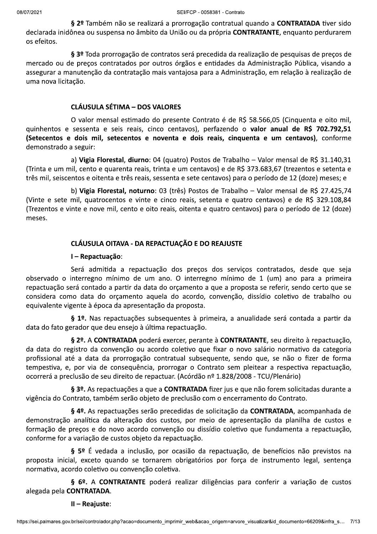§ 2º Também não se realizará a prorrogação contratual quando a CONTRATADA tiver sido declarada inidônea ou suspensa no âmbito da União ou da própria CONTRATANTE, enquanto perdurarem os efeitos.

§ 3º Toda prorrogação de contratos será precedida da realização de pesquisas de preços de mercado ou de preços contratados por outros órgãos e entidades da Administração Pública, visando a assegurar a manutenção da contratação mais vantajosa para a Administração, em relação à realização de uma nova licitação.

## **CLÁUSULA SÉTIMA - DOS VALORES**

O valor mensal estimado do presente Contrato é de R\$ 58.566,05 (Cinquenta e oito mil, guinhentos e sessenta e seis reais, cinco centavos), perfazendo o valor anual de R\$ 702.792,51 (Setecentos e dois mil, setecentos e noventa e dois reais, cinquenta e um centavos), conforme demonstrado a seguir:

a) Vigia Florestal, diurno: 04 (quatro) Postos de Trabalho - Valor mensal de R\$ 31.140,31 (Trinta e um mil, cento e quarenta reais, trinta e um centavos) e de R\$ 373.683,67 (trezentos e setenta e três mil, seiscentos e oitenta e três reais, sessenta e sete centavos) para o período de 12 (doze) meses; e

b) Vigia Florestal, noturno: 03 (três) Postos de Trabalho - Valor mensal de R\$ 27.425,74 (Vinte e sete mil, quatrocentos e vinte e cinco reais, setenta e quatro centavos) e de R\$ 329.108,84 (Trezentos e vinte e nove mil, cento e oito reais, oitenta e quatro centavos) para o período de 12 (doze) meses.

# CLÁUSULA OITAVA - DA REPACTUAÇÃO E DO REAJUSTE

#### I - Repactuação:

Será admitida a repactuação dos preços dos serviços contratados, desde que seja observado o interregno mínimo de um ano. O interregno mínimo de 1 (um) ano para a primeira repactuação será contado a partir da data do orçamento a que a proposta se referir, sendo certo que se considera como data do orçamento aquela do acordo, convenção, dissídio coletivo de trabalho ou equivalente vigente à época da apresentação da proposta.

§ 1º. Nas repactuações subsequentes à primeira, a anualidade será contada a partir da data do fato gerador que deu ensejo à última repactuação.

§ 2º. A CONTRATADA poderá exercer, perante à CONTRATANTE, seu direito à repactuação, da data do registro da convenção ou acordo coletivo que fixar o novo salário normativo da categoria profissional até a data da prorrogação contratual subsequente, sendo que, se não o fizer de forma tempestiva, e, por via de conseguência, prorrogar o Contrato sem pleitear a respectiva repactuação, ocorrerá a preclusão de seu direito de repactuar. (Acórdão nº 1.828/2008 - TCU/Plenário)

§ 3º. As repactuações a que a CONTRATADA fizer jus e que não forem solicitadas durante a vigência do Contrato, também serão objeto de preclusão com o encerramento do Contrato.

§ 4º. As repactuações serão precedidas de solicitação da CONTRATADA, acompanhada de demonstração analítica da alteração dos custos, por meio de apresentação da planilha de custos e formação de preços e do novo acordo convenção ou dissídio coletivo que fundamenta a repactuação, conforme for a variação de custos objeto da repactuação.

§ 5º É vedada a inclusão, por ocasião da repactuação, de benefícios não previstos na proposta inicial, exceto quando se tornarem obrigatórios por força de instrumento legal, sentença normativa, acordo coletivo ou convenção coletiva.

§ 6º. A CONTRATANTE poderá realizar diligências para conferir a variação de custos alegada pela CONTRATADA.

II - Reajuste: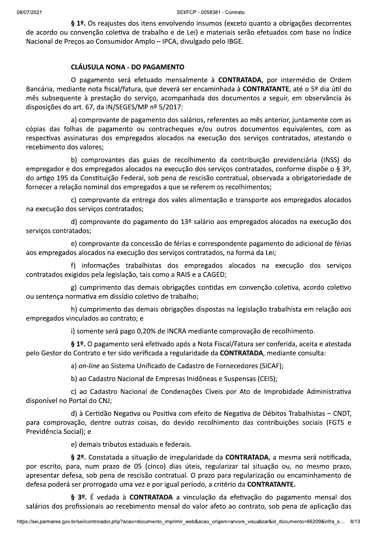§ 1º. Os reajustes dos itens envolvendo insumos (exceto quanto a obrigações decorrentes de acordo ou convenção coletiva de trabalho e de Lei) e materiais serão efetuados com base no Índice Nacional de Preços ao Consumidor Amplo - IPCA, divulgado pelo IBGE.

# **CLÁUSULA NONA - DO PAGAMENTO**

O pagamento será efetuado mensalmente à CONTRATADA, por intermédio de Ordem Bancária, mediante nota fiscal/fatura, que deverá ser encaminhada à CONTRATANTE, até o 5º dia útil do mês subsequente à prestação do serviço, acompanhada dos documentos a seguir, em observância às disposições do art. 67, da IN/SEGES/MP nº 5/2017:

a) comprovante de pagamento dos salários, referentes ao mês anterior, juntamente com as cópias das folhas de pagamento ou contracheques e/ou outros documentos equivalentes, com as respectivas assinaturas dos empregados alocados na execução dos serviços contratados, atestando o recebimento dos valores;

b) comprovantes das guias de recolhimento da contribuição previdenciária (INSS) do empregador e dos empregados alocados na execução dos serviços contratados, conforme dispõe o § 3º, do artigo 195 da Constituição Federal, sob pena de rescisão contratual, observada a obrigatoriedade de fornecer a relação nominal dos empregados a que se referem os recolhimentos;

c) comprovante da entrega dos vales alimentação e transporte aos empregados alocados na execução dos serviços contratados;

d) comprovante do pagamento do 13º salário aos empregados alocados na execução dos serviços contratados;

e) comprovante da concessão de férias e correspondente pagamento do adicional de férias aos empregados alocados na execução dos serviços contratados, na forma da Lei;

f) informações trabalhistas dos empregados alocados na execução dos serviços contratados exigidos pela legislação, tais como a RAIS e a CAGED;

g) cumprimento das demais obrigações contidas em convenção coletiva, acordo coletivo ou sentença normativa em dissídio coletivo de trabalho;

h) cumprimento das demais obrigações dispostas na legislação trabalhista em relação aos empregados vinculados ao contrato; e

i) somente será pago 0,20% de INCRA mediante comprovação de recolhimento.

§ 1º. O pagamento será efetivado após a Nota Fiscal/Fatura ser conferida, aceita e atestada pelo Gestor do Contrato e ter sido verificada a regularidade da CONTRATADA, mediante consulta:

a) on-line ao Sistema Unificado de Cadastro de Fornecedores (SICAF);

b) ao Cadastro Nacional de Empresas Inidôneas e Suspensas (CEIS);

c) ao Cadastro Nacional de Condenações Cíveis por Ato de Improbidade Administrativa disponível no Portal do CNJ;

d) à Certidão Negativa ou Positiva com efeito de Negativa de Débitos Trabalhistas - CNDT, para comprovação, dentre outras coisas, do devido recolhimento das contribuições sociais (FGTS e Previdência Social); e

e) demais tributos estaduais e federais.

§ 2º. Constatada a situação de irregularidade da CONTRATADA, a mesma será notificada, por escrito, para, num prazo de 05 (cinco) dias úteis, regularizar tal situação ou, no mesmo prazo, apresentar defesa, sob pena de rescisão contratual. O prazo para regularização ou encaminhamento de defesa poderá ser prorrogado uma vez e por igual período, a critério da CONTRATANTE.

§ 3º. É vedada à CONTRATADA a vinculação da efetivação do pagamento mensal dos salários dos profissionais ao recebimento mensal do valor afeto ao contrato, sob pena de aplicação das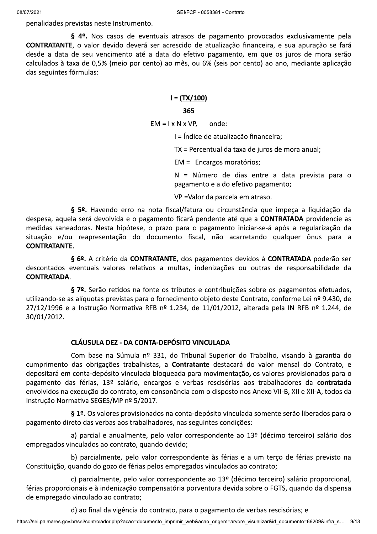penalidades previstas neste Instrumento.

§ 4º. Nos casos de eventuais atrasos de pagamento provocados exclusivamente pela CONTRATANTE, o valor devido deverá ser acrescido de atualização financeira, e sua apuração se fará desde a data de seu vencimento até a data do efetivo pagamento, em que os juros de mora serão calculados à taxa de 0,5% (meio por cento) ao mês, ou 6% (seis por cento) ao ano, mediante aplicação das seguintes fórmulas:

# $I = (TX/100)$

#### 365

 $EM = I \times N \times VP$ onde:

I = Índice de atualização financeira;

TX = Percentual da taxa de juros de mora anual;

EM = Encargos moratórios;

N = Número de dias entre a data prevista para o pagamento e a do efetivo pagamento;

VP = Valor da parcela em atraso.

§ 5º. Havendo erro na nota fiscal/fatura ou circunstância que impeça a liquidação da despesa, aquela será devolvida e o pagamento ficará pendente até que a CONTRATADA providencie as medidas saneadoras. Nesta hipótese, o prazo para o pagamento iniciar-se-á após a regularização da situação e/ou reapresentação do documento fiscal, não acarretando qualquer ônus para a **CONTRATANTE.** 

§ 6º. A critério da CONTRATANTE, dos pagamentos devidos à CONTRATADA poderão ser descontados eventuais valores relativos a multas, indenizações ou outras de responsabilidade da **CONTRATADA.** 

§ 7º. Serão retidos na fonte os tributos e contribuições sobre os pagamentos efetuados, utilizando-se as alíquotas previstas para o fornecimento objeto deste Contrato, conforme Lei nº 9.430, de 27/12/1996 e a Instrução Normativa RFB nº 1.234, de 11/01/2012, alterada pela IN RFB nº 1.244, de 30/01/2012.

# CLÁUSULA DEZ - DA CONTA-DEPÓSITO VINCULADA

Com base na Súmula nº 331, do Tribunal Superior do Trabalho, visando à garantia do cumprimento das obrigações trabalhistas, a Contratante destacará do valor mensal do Contrato, e depositará em conta-depósito vinculada bloqueada para movimentação, os valores provisionados para o pagamento das férias, 13º salário, encargos e verbas rescisórias aos trabalhadores da contratada envolvidos na execução do contrato, em consonância com o disposto nos Anexo VII-B, XII e XII-A, todos da Instrução Normativa SEGES/MP nº 5/2017.

§ 1º. Os valores provisionados na conta-depósito vinculada somente serão liberados para o pagamento direto das verbas aos trabalhadores, nas seguintes condições:

a) parcial e anualmente, pelo valor correspondente ao 13º (décimo terceiro) salário dos empregados vinculados ao contrato, quando devido;

b) parcialmente, pelo valor correspondente às férias e a um terço de férias previsto na Constituição, quando do gozo de férias pelos empregados vinculados ao contrato;

c) parcialmente, pelo valor correspondente ao  $13<sup>°</sup>$  (décimo terceiro) salário proporcional, férias proporcionais e à indenização compensatória porventura devida sobre o FGTS, quando da dispensa de empregado vinculado ao contrato;

d) ao final da vigência do contrato, para o pagamento de verbas rescisórias; e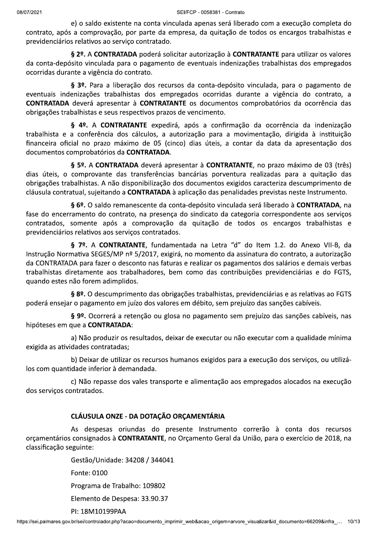e) o saldo existente na conta vinculada apenas será liberado com a execução completa do contrato, após a comprovação, por parte da empresa, da quitação de todos os encargos trabalhistas e previdenciários relativos ao serviço contratado.

§ 2º. A CONTRATADA poderá solicitar autorização à CONTRATANTE para utilizar os valores da conta-depósito vinculada para o pagamento de eventuais indenizações trabalhistas dos empregados ocorridas durante a vigência do contrato.

§ 3º. Para a liberação dos recursos da conta-depósito vinculada, para o pagamento de eventuais indenizações trabalhistas dos empregados ocorridas durante a vigência do contrato, a CONTRATADA deverá apresentar à CONTRATANTE os documentos comprobatórios da ocorrência das obrigações trabalhistas e seus respectivos prazos de vencimento.

§ 4º. A CONTRATANTE expedirá, após a confirmação da ocorrência da indenização trabalhista e a conferência dos cálculos, a autorização para a movimentação, dirigida à instituição financeira oficial no prazo máximo de 05 (cinco) dias úteis, a contar da data da apresentação dos documentos comprobatórios da CONTRATADA.

§ 5º. A CONTRATADA deverá apresentar à CONTRATANTE, no prazo máximo de 03 (três) dias úteis, o comprovante das transferências bancárias porventura realizadas para a quitação das obrigações trabalhistas. A não disponibilização dos documentos exigidos caracteriza descumprimento de cláusula contratual, sujeitando a CONTRATADA à aplicação das penalidades previstas neste Instrumento.

§ 6º. O saldo remanescente da conta-depósito vinculada será liberado à CONTRATADA, na fase do encerramento do contrato, na presença do sindicato da categoria correspondente aos serviços contratados, somente após a comprovação da quitação de todos os encargos trabalhistas e previdenciários relativos aos serviços contratados.

§ 7º. A CONTRATANTE, fundamentada na Letra "d" do Item 1.2. do Anexo VII-B, da Instrução Normativa SEGES/MP nº 5/2017, exigirá, no momento da assinatura do contrato, a autorização da CONTRATADA para fazer o desconto nas faturas e realizar os pagamentos dos salários e demais verbas trabalhistas diretamente aos trabalhadores, bem como das contribuições previdenciárias e do FGTS, guando estes não forem adimplidos.

§ 8º. O descumprimento das obrigações trabalhistas, previdenciárias e as relativas ao FGTS poderá ensejar o pagamento em juízo dos valores em débito, sem prejuízo das sanções cabíveis.

§ 9º. Ocorrerá a retenção ou glosa no pagamento sem prejuízo das sanções cabíveis, nas hipóteses em que a CONTRATADA:

a) Não produzir os resultados, deixar de executar ou não executar com a qualidade mínima exigida as atividades contratadas;

b) Deixar de utilizar os recursos humanos exigidos para a execução dos serviços, ou utilizálos com quantidade inferior à demandada.

c) Não repasse dos vales transporte e alimentação aos empregados alocados na execução dos serviços contratados.

# CLÁUSULA ONZE - DA DOTAÇÃO ORÇAMENTÁRIA

As despesas oriundas do presente Instrumento correrão à conta dos recursos orçamentários consignados à CONTRATANTE, no Orçamento Geral da União, para o exercício de 2018, na classificação seguinte:

> e: 0100<br>rama de Trabalho: 109802<br>!ento de Despesa: 33.90.37<br>8M10199PAA<br>controlador.php?acao=documento\_imprimir\_web&acao\_origem=arvore\_visualizar&id\_documento=66209&infra\_… 10/1: Gestão/Unidade: 34208 / 344041 Fonte: 0100 Programa de Trabalho: 109802 Elemento de Despesa: 33.90.37 PI: 18M10199PAA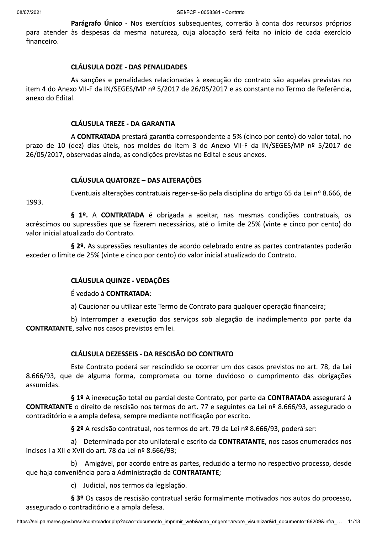Parágrafo Único - Nos exercícios subsequentes, correrão à conta dos recursos próprios para atender às despesas da mesma natureza, cuja alocação será feita no início de cada exercício financeiro.

#### **CLÁUSULA DOZE - DAS PENALIDADES**

As sanções e penalidades relacionadas à execução do contrato são aquelas previstas no item 4 do Anexo VII-F da IN/SEGES/MP nº 5/2017 de 26/05/2017 e as constante no Termo de Referência, anexo do Edital.

#### **CLÁUSULA TREZE - DA GARANTIA**

A CONTRATADA prestará garantia correspondente a 5% (cinco por cento) do valor total, no prazo de 10 (dez) dias úteis, nos moldes do item 3 do Anexo VII-F da IN/SEGES/MP nº 5/2017 de 26/05/2017, observadas ainda, as condições previstas no Edital e seus anexos.

#### **CLÁUSULA QUATORZE - DAS ALTERAÇÕES**

1993.

Eventuais alterações contratuais reger-se-ão pela disciplina do artigo 65 da Lei nº 8.666, de

§ 1º. A CONTRATADA é obrigada a aceitar, nas mesmas condições contratuais, os acréscimos ou supressões que se fizerem necessários, até o limite de 25% (vinte e cinco por cento) do valor inicial atualizado do Contrato.

§ 2º. As supressões resultantes de acordo celebrado entre as partes contratantes poderão exceder o limite de 25% (vinte e cinco por cento) do valor inicial atualizado do Contrato.

# **CLÁUSULA QUINZE - VEDAÇÕES**

É vedado à CONTRATADA:

a) Caucionar ou utilizar este Termo de Contrato para qualquer operação financeira;

b) Interromper a execução dos serviços sob alegação de inadimplemento por parte da **CONTRATANTE, salvo nos casos previstos em lei.** 

# CLÁUSULA DEZESSEIS - DA RESCISÃO DO CONTRATO

Este Contrato poderá ser rescindido se ocorrer um dos casos previstos no art. 78, da Lei 8.666/93, que de alguma forma, comprometa ou torne duvidoso o cumprimento das obrigações assumidas.

§ 1º A inexecução total ou parcial deste Contrato, por parte da CONTRATADA assegurará à CONTRATANTE o direito de rescisão nos termos do art. 77 e seguintes da Lei nº 8.666/93, assegurado o contraditório e a ampla defesa, sempre mediante notificação por escrito.

§ 2º A rescisão contratual, nos termos do art. 79 da Lei nº 8.666/93, poderá ser:

a) Determinada por ato unilateral e escrito da **CONTRATANTE**, nos casos enumerados nos incisos I a XII e XVII do art. 78 da Lei nº 8.666/93;

b) Amigável, por acordo entre as partes, reduzido a termo no respectivo processo, desde que haja conveniência para a Administração da CONTRATANTE;

c) Judicial, nos termos da legislação.

§ 3º Os casos de rescisão contratual serão formalmente motivados nos autos do processo, assegurado o contraditório e a ampla defesa.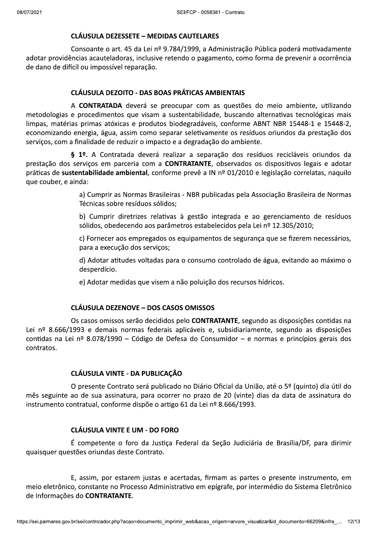# **CLÁUSULA DEZESSETE - MEDIDAS CAUTELARES**

Consoante o art. 45 da Lei nº 9.784/1999, a Administração Pública poderá motivadamente adotar providências acauteladoras, inclusive retendo o pagamento, como forma de prevenir a ocorrência de dano de difícil ou impossível reparação.

## **CLÁUSULA DEZOITO - DAS BOAS PRÁTICAS AMBIENTAIS**

A CONTRATADA deverá se preocupar com as questões do meio ambiente, utilizando metodologias e procedimentos que visam a sustentabilidade, buscando alternativas tecnológicas mais limpas, matérias primas atóxicas e produtos biodegradáveis, conforme ABNT NBR 15448-1 e 15448-2, economizando energia, água, assim como separar seletivamente os resíduos oriundos da prestação dos serviços, com a finalidade de reduzir o impacto e a degradação do ambiente.

§ 1º. A Contratada deverá realizar a separação dos resíduos recicláveis oriundos da prestação dos servicos em parceria com a **CONTRATANTE**, observados os dispositivos legais e adotar práticas de sustentabilidade ambiental, conforme prevê a IN nº 01/2010 e legislação correlatas, naquilo que couber, e ainda:

> a) Cumprir as Normas Brasileiras - NBR publicadas pela Associação Brasileira de Normas Técnicas sobre resíduos sólidos;

> b) Cumprir diretrizes relativas à gestão integrada e ao gerenciamento de resíduos sólidos, obedecendo aos parâmetros estabelecidos pela Lei nº 12.305/2010;

> c) Fornecer aos empregados os equipamentos de segurança que se fizerem necessários, para a execução dos serviços;

> d) Adotar atitudes voltadas para o consumo controlado de água, evitando ao máximo o desperdício.

e) Adotar medidas que visem a não poluição dos recursos hídricos.

# **CLÁUSULA DEZENOVE - DOS CASOS OMISSOS**

Os casos omissos serão decididos pelo **CONTRATANTE**, segundo as disposições contidas na Lei nº 8.666/1993 e demais normas federais aplicáveis e, subsidiariamente, segundo as disposições contidas na Lei nº 8.078/1990 – Código de Defesa do Consumidor – e normas e princípios gerais dos contratos.

# **CLÁUSULA VINTE - DA PUBLICAÇÃO**

O presente Contrato será publicado no Diário Oficial da União, até o 5º (quinto) dia útil do mês seguinte ao de sua assinatura, para ocorrer no prazo de 20 (vinte) dias da data de assinatura do instrumento contratual, conforme dispõe o artigo 61 da Lei nº 8.666/1993.

# **CLÁUSULA VINTE E UM - DO FORO**

É competente o foro da Justiça Federal da Seção Judiciária de Brasília/DF, para dirimir quaisquer questões oriundas deste Contrato.

E, assim, por estarem justas e acertadas, firmam as partes o presente instrumento, em meio eletrônico, constante no Processo Administrativo em epígrafe, por intermédio do Sistema Eletrônico de Informações do CONTRATANTE.